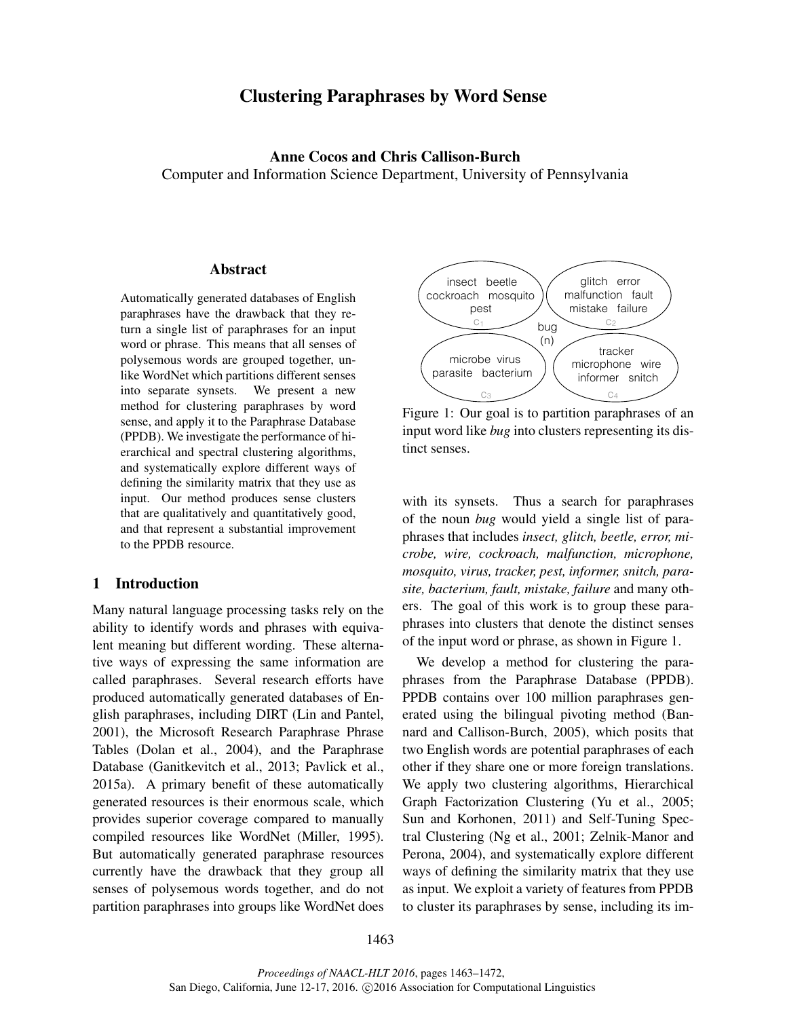# Clustering Paraphrases by Word Sense

Anne Cocos and Chris Callison-Burch Computer and Information Science Department, University of Pennsylvania

## Abstract

Automatically generated databases of English paraphrases have the drawback that they return a single list of paraphrases for an input word or phrase. This means that all senses of polysemous words are grouped together, unlike WordNet which partitions different senses into separate synsets. We present a new method for clustering paraphrases by word sense, and apply it to the Paraphrase Database (PPDB). We investigate the performance of hierarchical and spectral clustering algorithms, and systematically explore different ways of defining the similarity matrix that they use as input. Our method produces sense clusters that are qualitatively and quantitatively good, and that represent a substantial improvement to the PPDB resource.

### 1 Introduction

Many natural language processing tasks rely on the ability to identify words and phrases with equivalent meaning but different wording. These alternative ways of expressing the same information are called paraphrases. Several research efforts have produced automatically generated databases of English paraphrases, including DIRT (Lin and Pantel, 2001), the Microsoft Research Paraphrase Phrase Tables (Dolan et al., 2004), and the Paraphrase Database (Ganitkevitch et al., 2013; Pavlick et al., 2015a). A primary benefit of these automatically generated resources is their enormous scale, which provides superior coverage compared to manually compiled resources like WordNet (Miller, 1995). But automatically generated paraphrase resources currently have the drawback that they group all senses of polysemous words together, and do not partition paraphrases into groups like WordNet does



Figure 1: Our goal is to partition paraphrases of an input word like *bug* into clusters representing its distinct senses.

with its synsets. Thus a search for paraphrases of the noun *bug* would yield a single list of paraphrases that includes *insect, glitch, beetle, error, microbe, wire, cockroach, malfunction, microphone, mosquito, virus, tracker, pest, informer, snitch, parasite, bacterium, fault, mistake, failure* and many others. The goal of this work is to group these paraphrases into clusters that denote the distinct senses of the input word or phrase, as shown in Figure 1.

We develop a method for clustering the paraphrases from the Paraphrase Database (PPDB). PPDB contains over 100 million paraphrases generated using the bilingual pivoting method (Bannard and Callison-Burch, 2005), which posits that two English words are potential paraphrases of each other if they share one or more foreign translations. We apply two clustering algorithms, Hierarchical Graph Factorization Clustering (Yu et al., 2005; Sun and Korhonen, 2011) and Self-Tuning Spectral Clustering (Ng et al., 2001; Zelnik-Manor and Perona, 2004), and systematically explore different ways of defining the similarity matrix that they use as input. We exploit a variety of features from PPDB to cluster its paraphrases by sense, including its im-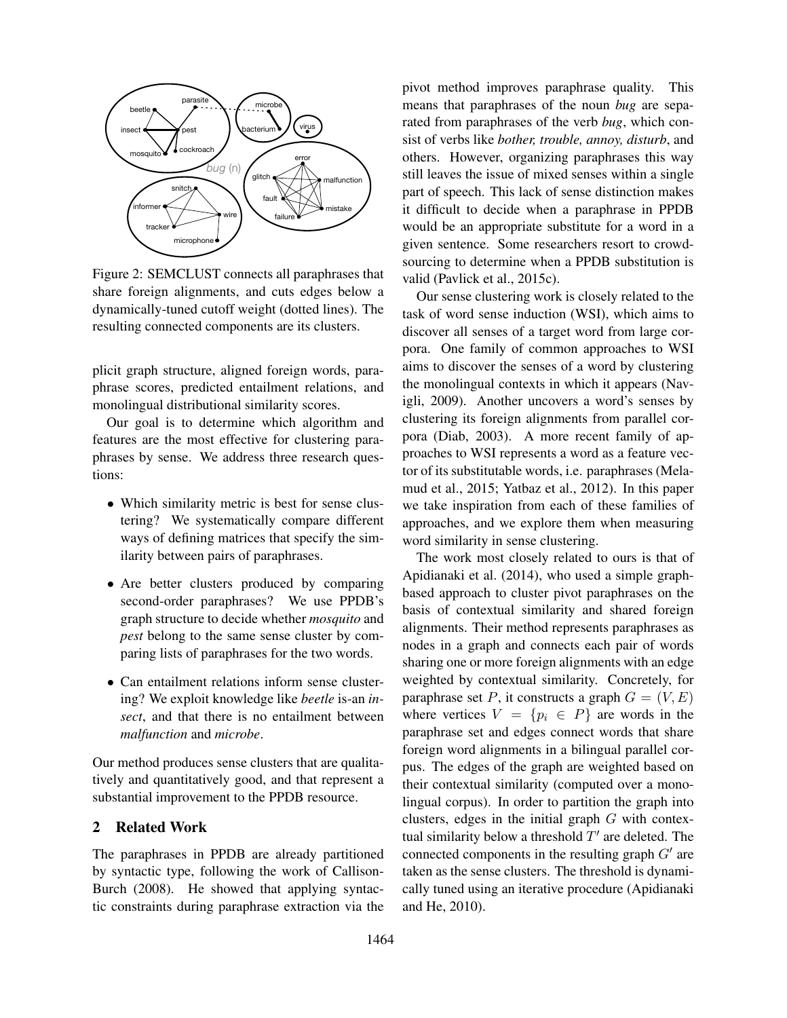

Figure 2: SEMCLUST connects all paraphrases that share foreign alignments, and cuts edges below a dynamically-tuned cutoff weight (dotted lines). The resulting connected components are its clusters.

plicit graph structure, aligned foreign words, paraphrase scores, predicted entailment relations, and monolingual distributional similarity scores.

Our goal is to determine which algorithm and features are the most effective for clustering paraphrases by sense. We address three research questions:

- Which similarity metric is best for sense clustering? We systematically compare different ways of defining matrices that specify the similarity between pairs of paraphrases.
- Are better clusters produced by comparing second-order paraphrases? We use PPDB's graph structure to decide whether *mosquito* and *pest* belong to the same sense cluster by comparing lists of paraphrases for the two words.
- Can entailment relations inform sense clustering? We exploit knowledge like *beetle* is-an *insect*, and that there is no entailment between *malfunction* and *microbe*.

Our method produces sense clusters that are qualitatively and quantitatively good, and that represent a substantial improvement to the PPDB resource.

## 2 Related Work

The paraphrases in PPDB are already partitioned by syntactic type, following the work of Callison-Burch (2008). He showed that applying syntactic constraints during paraphrase extraction via the pivot method improves paraphrase quality. This means that paraphrases of the noun *bug* are separated from paraphrases of the verb *bug*, which consist of verbs like *bother, trouble, annoy, disturb*, and others. However, organizing paraphrases this way still leaves the issue of mixed senses within a single part of speech. This lack of sense distinction makes it difficult to decide when a paraphrase in PPDB would be an appropriate substitute for a word in a given sentence. Some researchers resort to crowdsourcing to determine when a PPDB substitution is valid (Pavlick et al., 2015c).

Our sense clustering work is closely related to the task of word sense induction (WSI), which aims to discover all senses of a target word from large corpora. One family of common approaches to WSI aims to discover the senses of a word by clustering the monolingual contexts in which it appears (Navigli, 2009). Another uncovers a word's senses by clustering its foreign alignments from parallel corpora (Diab, 2003). A more recent family of approaches to WSI represents a word as a feature vector of its substitutable words, i.e. paraphrases (Melamud et al., 2015; Yatbaz et al., 2012). In this paper we take inspiration from each of these families of approaches, and we explore them when measuring word similarity in sense clustering.

The work most closely related to ours is that of Apidianaki et al. (2014), who used a simple graphbased approach to cluster pivot paraphrases on the basis of contextual similarity and shared foreign alignments. Their method represents paraphrases as nodes in a graph and connects each pair of words sharing one or more foreign alignments with an edge weighted by contextual similarity. Concretely, for paraphrase set P, it constructs a graph  $G = (V, E)$ where vertices  $V = \{p_i \in P\}$  are words in the paraphrase set and edges connect words that share foreign word alignments in a bilingual parallel corpus. The edges of the graph are weighted based on their contextual similarity (computed over a monolingual corpus). In order to partition the graph into clusters, edges in the initial graph  $G$  with contextual similarity below a threshold  $T'$  are deleted. The connected components in the resulting graph  $G'$  are taken as the sense clusters. The threshold is dynamically tuned using an iterative procedure (Apidianaki and He, 2010).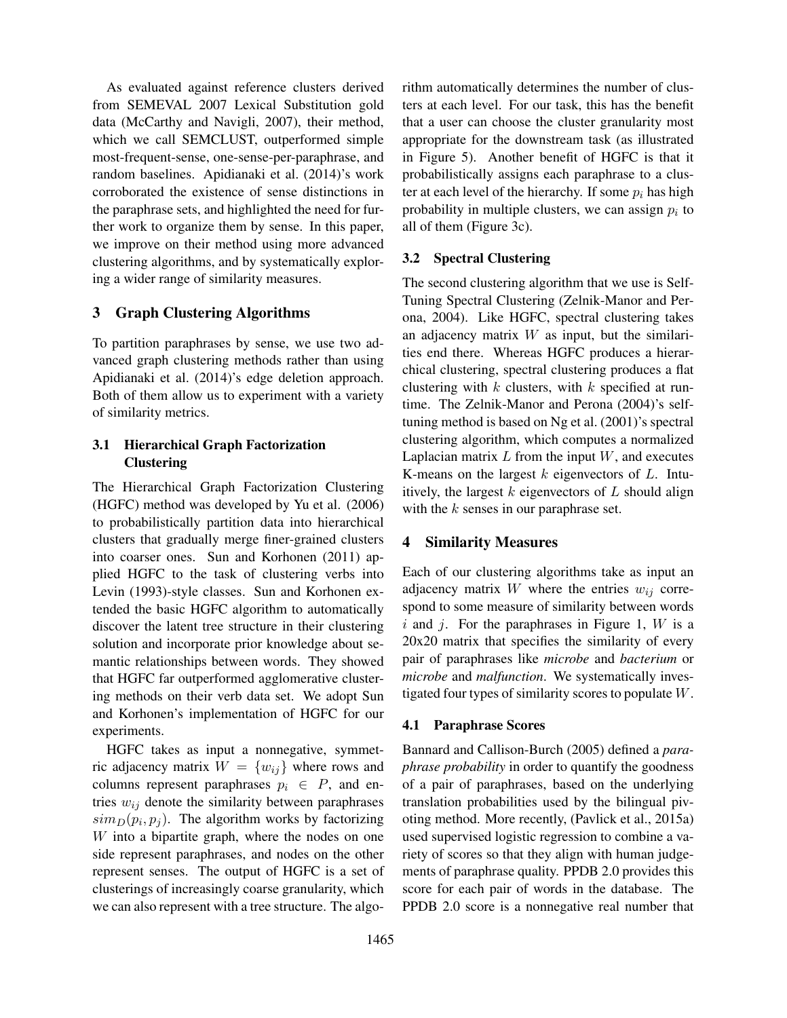As evaluated against reference clusters derived from SEMEVAL 2007 Lexical Substitution gold data (McCarthy and Navigli, 2007), their method, which we call SEMCLUST, outperformed simple most-frequent-sense, one-sense-per-paraphrase, and random baselines. Apidianaki et al. (2014)'s work corroborated the existence of sense distinctions in the paraphrase sets, and highlighted the need for further work to organize them by sense. In this paper, we improve on their method using more advanced clustering algorithms, and by systematically exploring a wider range of similarity measures.

## 3 Graph Clustering Algorithms

To partition paraphrases by sense, we use two advanced graph clustering methods rather than using Apidianaki et al. (2014)'s edge deletion approach. Both of them allow us to experiment with a variety of similarity metrics.

## 3.1 Hierarchical Graph Factorization **Clustering**

The Hierarchical Graph Factorization Clustering (HGFC) method was developed by Yu et al. (2006) to probabilistically partition data into hierarchical clusters that gradually merge finer-grained clusters into coarser ones. Sun and Korhonen (2011) applied HGFC to the task of clustering verbs into Levin (1993)-style classes. Sun and Korhonen extended the basic HGFC algorithm to automatically discover the latent tree structure in their clustering solution and incorporate prior knowledge about semantic relationships between words. They showed that HGFC far outperformed agglomerative clustering methods on their verb data set. We adopt Sun and Korhonen's implementation of HGFC for our experiments.

HGFC takes as input a nonnegative, symmetric adjacency matrix  $W = \{w_{ij}\}\$  where rows and columns represent paraphrases  $p_i \in P$ , and entries  $w_{ij}$  denote the similarity between paraphrases  $\langle \sinh(D(p_i, p_j)) \rangle$ . The algorithm works by factorizing W into a bipartite graph, where the nodes on one side represent paraphrases, and nodes on the other represent senses. The output of HGFC is a set of clusterings of increasingly coarse granularity, which we can also represent with a tree structure. The algorithm automatically determines the number of clusters at each level. For our task, this has the benefit that a user can choose the cluster granularity most appropriate for the downstream task (as illustrated in Figure 5). Another benefit of HGFC is that it probabilistically assigns each paraphrase to a cluster at each level of the hierarchy. If some  $p_i$  has high probability in multiple clusters, we can assign  $p_i$  to all of them (Figure 3c).

## 3.2 Spectral Clustering

The second clustering algorithm that we use is Self-Tuning Spectral Clustering (Zelnik-Manor and Perona, 2004). Like HGFC, spectral clustering takes an adjacency matrix  $W$  as input, but the similarities end there. Whereas HGFC produces a hierarchical clustering, spectral clustering produces a flat clustering with  $k$  clusters, with  $k$  specified at runtime. The Zelnik-Manor and Perona (2004)'s selftuning method is based on Ng et al. (2001)'s spectral clustering algorithm, which computes a normalized Laplacian matrix  $L$  from the input  $W$ , and executes K-means on the largest  $k$  eigenvectors of  $L$ . Intuitively, the largest  $k$  eigenvectors of  $L$  should align with the  $k$  senses in our paraphrase set.

## 4 Similarity Measures

Each of our clustering algorithms take as input an adjacency matrix  $W$  where the entries  $w_{ij}$  correspond to some measure of similarity between words i and j. For the paraphrases in Figure 1,  $W$  is a 20x20 matrix that specifies the similarity of every pair of paraphrases like *microbe* and *bacterium* or *microbe* and *malfunction*. We systematically investigated four types of similarity scores to populate W.

## 4.1 Paraphrase Scores

Bannard and Callison-Burch (2005) defined a *paraphrase probability* in order to quantify the goodness of a pair of paraphrases, based on the underlying translation probabilities used by the bilingual pivoting method. More recently, (Pavlick et al., 2015a) used supervised logistic regression to combine a variety of scores so that they align with human judgements of paraphrase quality. PPDB 2.0 provides this score for each pair of words in the database. The PPDB 2.0 score is a nonnegative real number that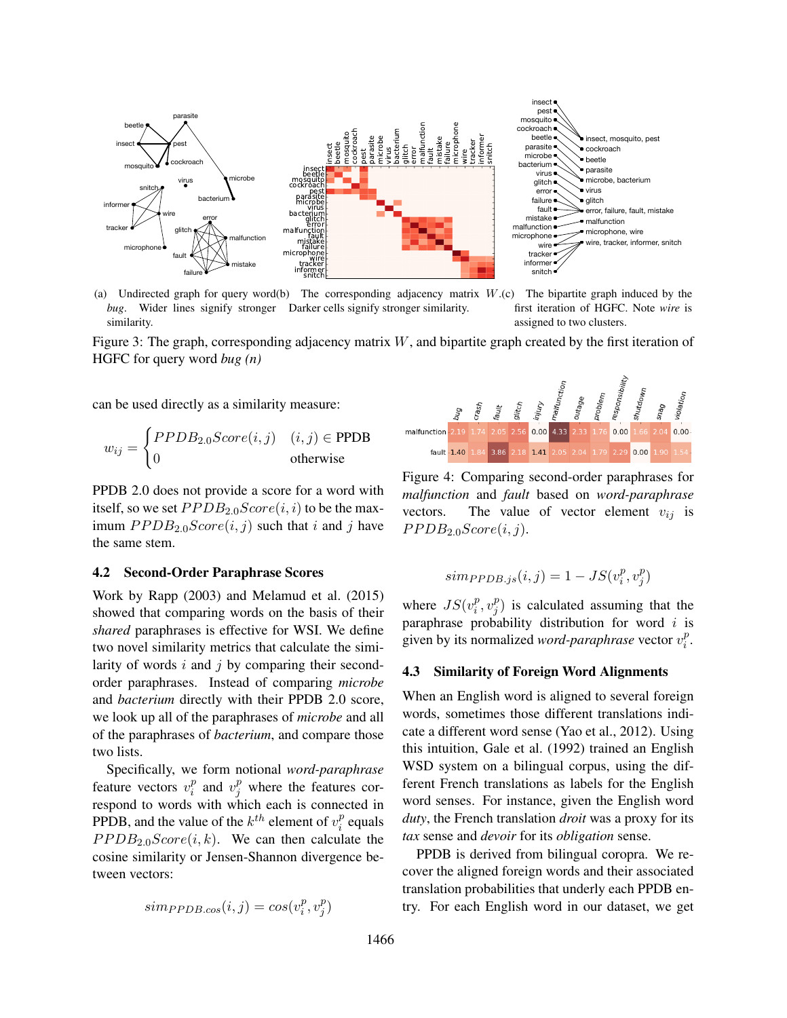

(a) Undirected graph for query word (b) The corresponding adjacency matrix W. *bug*. Wider lines signify stronger Darker cells signify stronger similarity.



Figure 3: The graph, corresponding adjacency matrix W, and bipartite graph created by the first iteration of HGFC for query word *bug (n)*

can be used directly as a similarity measure:

$$
w_{ij} = \begin{cases} PPDB_{2.0}Score(i,j) & (i,j) \in \text{PPDB} \\ 0 & \text{otherwise} \end{cases}
$$

PPDB 2.0 does not provide a score for a word with itself, so we set  $PPDB_{2.0}Score(i, i)$  to be the maximum  $PPDB_{2.0}Score(i, j)$  such that i and j have the same stem.

#### 4.2 Second-Order Paraphrase Scores

Work by Rapp (2003) and Melamud et al. (2015) showed that comparing words on the basis of their *shared* paraphrases is effective for WSI. We define two novel similarity metrics that calculate the similarity of words  $i$  and  $j$  by comparing their secondorder paraphrases. Instead of comparing *microbe* and *bacterium* directly with their PPDB 2.0 score, we look up all of the paraphrases of *microbe* and all of the paraphrases of *bacterium*, and compare those two lists.

Specifically, we form notional *word-paraphrase* feature vectors  $v_i^p$  $i$ <sup>p</sup> and  $v_j^p$  where the features correspond to words with which each is connected in PPDB, and the value of the  $k^{th}$  element of  $v_i^p$  $i<sup>p</sup>$  equals  $PPDB_{2.0}Score(i, k)$ . We can then calculate the cosine similarity or Jensen-Shannon divergence between vectors:

$$
simp_{PDB.\cos}(i,j)=cos(v_i^p,v_j^p)
$$



Figure 4: Comparing second-order paraphrases for *malfunction* and *fault* based on *word-paraphrase* vectors. The value of vector element  $v_{ij}$  is  $PPDB_{2.0}Score(i, j).$ 

$$
simp_{PDB.js}(i,j) = 1 - JS(v_i^p, v_j^p)
$$

where  $JS(v_i^p)$  $_i^p, v_j^p$  $_j^p$ ) is calculated assuming that the paraphrase probability distribution for word  $i$  is given by its normalized *word-paraphrase* vector  $v_i^p$  $\frac{p}{i}$ .

### 4.3 Similarity of Foreign Word Alignments

When an English word is aligned to several foreign words, sometimes those different translations indicate a different word sense (Yao et al., 2012). Using this intuition, Gale et al. (1992) trained an English WSD system on a bilingual corpus, using the different French translations as labels for the English word senses. For instance, given the English word *duty*, the French translation *droit* was a proxy for its *tax* sense and *devoir* for its *obligation* sense.

PPDB is derived from bilingual coropra. We recover the aligned foreign words and their associated translation probabilities that underly each PPDB entry. For each English word in our dataset, we get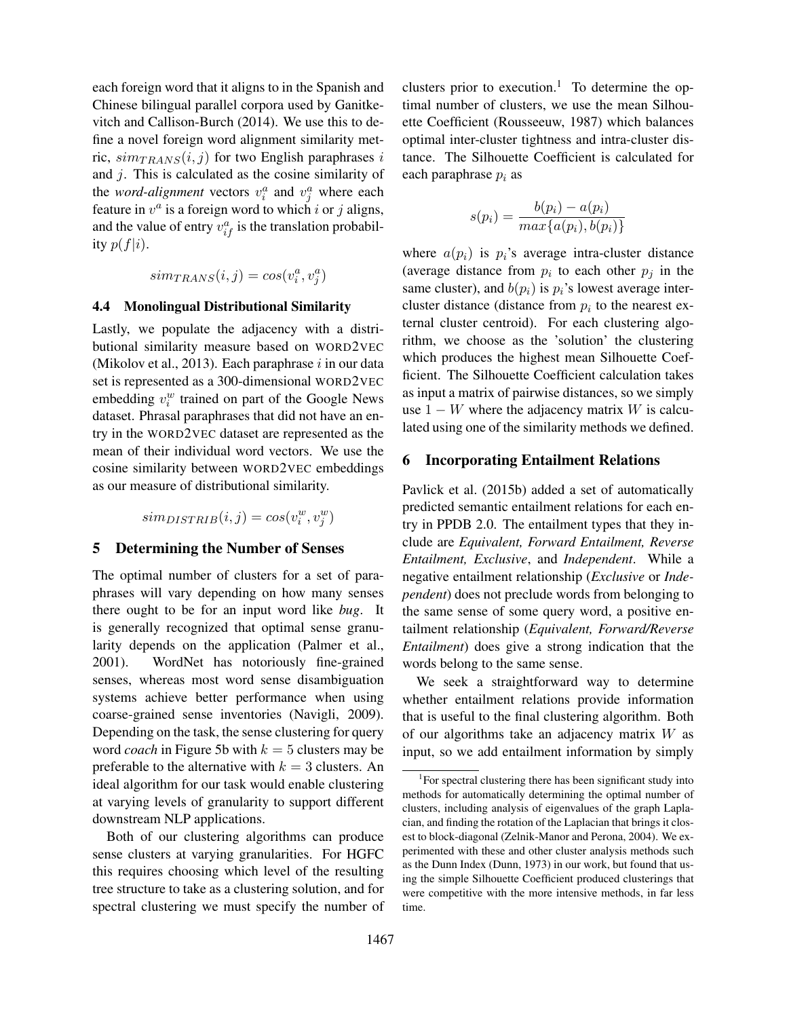each foreign word that it aligns to in the Spanish and Chinese bilingual parallel corpora used by Ganitkevitch and Callison-Burch (2014). We use this to define a novel foreign word alignment similarity metric,  $sim_{TRANS}(i, j)$  for two English paraphrases i and j. This is calculated as the cosine similarity of the *word-alignment* vectors  $v_i^a$  and  $v_j^a$  where each feature in  $v^a$  is a foreign word to which i or j aligns, and the value of entry  $v_{if}^a$  is the translation probability  $p(f|i)$ .

$$
sim_{TRANS}(i,j) = cos(v_i^a, v_j^a)
$$

## 4.4 Monolingual Distributional Similarity

Lastly, we populate the adjacency with a distributional similarity measure based on WORD2VEC (Mikolov et al., 2013). Each paraphrase  $i$  in our data set is represented as a 300-dimensional WORD2VEC embedding  $v_i^w$  trained on part of the Google News dataset. Phrasal paraphrases that did not have an entry in the WORD2VEC dataset are represented as the mean of their individual word vectors. We use the cosine similarity between WORD2VEC embeddings as our measure of distributional similarity.

 $sim_{DISTRIB}(i, j) = cos(v_i^w, v_j^w)$ 

### 5 Determining the Number of Senses

The optimal number of clusters for a set of paraphrases will vary depending on how many senses there ought to be for an input word like *bug*. It is generally recognized that optimal sense granularity depends on the application (Palmer et al., 2001). WordNet has notoriously fine-grained senses, whereas most word sense disambiguation systems achieve better performance when using coarse-grained sense inventories (Navigli, 2009). Depending on the task, the sense clustering for query word *coach* in Figure 5b with  $k = 5$  clusters may be preferable to the alternative with  $k = 3$  clusters. An ideal algorithm for our task would enable clustering at varying levels of granularity to support different downstream NLP applications.

Both of our clustering algorithms can produce sense clusters at varying granularities. For HGFC this requires choosing which level of the resulting tree structure to take as a clustering solution, and for spectral clustering we must specify the number of clusters prior to execution.<sup>1</sup> To determine the optimal number of clusters, we use the mean Silhouette Coefficient (Rousseeuw, 1987) which balances optimal inter-cluster tightness and intra-cluster distance. The Silhouette Coefficient is calculated for each paraphrase  $p_i$  as

$$
s(p_i) = \frac{b(p_i) - a(p_i)}{\max\{a(p_i), b(p_i)\}}
$$

where  $a(p_i)$  is  $p_i$ 's average intra-cluster distance (average distance from  $p_i$  to each other  $p_j$  in the same cluster), and  $b(p_i)$  is  $p_i$ 's lowest average intercluster distance (distance from  $p_i$  to the nearest external cluster centroid). For each clustering algorithm, we choose as the 'solution' the clustering which produces the highest mean Silhouette Coefficient. The Silhouette Coefficient calculation takes as input a matrix of pairwise distances, so we simply use  $1 - W$  where the adjacency matrix W is calculated using one of the similarity methods we defined.

#### 6 Incorporating Entailment Relations

Pavlick et al. (2015b) added a set of automatically predicted semantic entailment relations for each entry in PPDB 2.0. The entailment types that they include are *Equivalent, Forward Entailment, Reverse Entailment, Exclusive*, and *Independent*. While a negative entailment relationship (*Exclusive* or *Independent*) does not preclude words from belonging to the same sense of some query word, a positive entailment relationship (*Equivalent, Forward/Reverse Entailment*) does give a strong indication that the words belong to the same sense.

We seek a straightforward way to determine whether entailment relations provide information that is useful to the final clustering algorithm. Both of our algorithms take an adjacency matrix  $W$  as input, so we add entailment information by simply

<sup>&</sup>lt;sup>1</sup>For spectral clustering there has been significant study into methods for automatically determining the optimal number of clusters, including analysis of eigenvalues of the graph Laplacian, and finding the rotation of the Laplacian that brings it closest to block-diagonal (Zelnik-Manor and Perona, 2004). We experimented with these and other cluster analysis methods such as the Dunn Index (Dunn, 1973) in our work, but found that using the simple Silhouette Coefficient produced clusterings that were competitive with the more intensive methods, in far less time.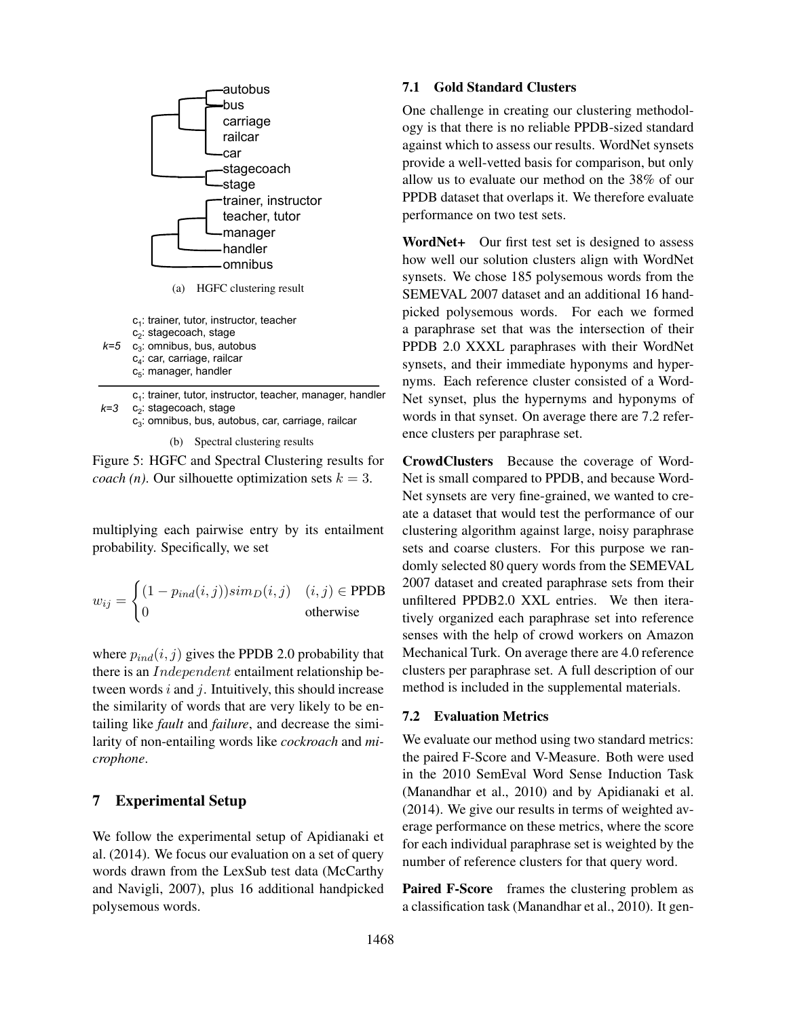

c<sub>1</sub>: trainer, tutor, instructor, teacher, manager, handler c2: stagecoach, stage *k=3* 

c<sub>3</sub>: omnibus, bus, autobus, car, carriage, railcar

(b) Spectral clustering results

Figure 5: HGFC and Spectral Clustering results for *coach (n)*. Our silhouette optimization sets  $k = 3$ .

multiplying each pairwise entry by its entailment probability. Specifically, we set

$$
w_{ij} = \begin{cases} (1 - p_{ind}(i, j)) \operatorname{sim}_D(i, j) & (i, j) \in \text{PPDB} \\ 0 & \text{otherwise} \end{cases}
$$

where  $p_{ind}(i, j)$  gives the PPDB 2.0 probability that there is an *Independent* entailment relationship between words  $i$  and  $j$ . Intuitively, this should increase the similarity of words that are very likely to be entailing like *fault* and *failure*, and decrease the similarity of non-entailing words like *cockroach* and *microphone*.

## 7 Experimental Setup

We follow the experimental setup of Apidianaki et al. (2014). We focus our evaluation on a set of query words drawn from the LexSub test data (McCarthy and Navigli, 2007), plus 16 additional handpicked polysemous words.

### 7.1 Gold Standard Clusters

One challenge in creating our clustering methodology is that there is no reliable PPDB-sized standard against which to assess our results. WordNet synsets provide a well-vetted basis for comparison, but only allow us to evaluate our method on the 38% of our PPDB dataset that overlaps it. We therefore evaluate performance on two test sets.

WordNet+ Our first test set is designed to assess how well our solution clusters align with WordNet synsets. We chose 185 polysemous words from the SEMEVAL 2007 dataset and an additional 16 handpicked polysemous words. For each we formed a paraphrase set that was the intersection of their PPDB 2.0 XXXL paraphrases with their WordNet synsets, and their immediate hyponyms and hypernyms. Each reference cluster consisted of a Word-Net synset, plus the hypernyms and hyponyms of words in that synset. On average there are 7.2 reference clusters per paraphrase set.

CrowdClusters Because the coverage of Word-Net is small compared to PPDB, and because Word-Net synsets are very fine-grained, we wanted to create a dataset that would test the performance of our clustering algorithm against large, noisy paraphrase sets and coarse clusters. For this purpose we randomly selected 80 query words from the SEMEVAL 2007 dataset and created paraphrase sets from their unfiltered PPDB2.0 XXL entries. We then iteratively organized each paraphrase set into reference senses with the help of crowd workers on Amazon Mechanical Turk. On average there are 4.0 reference clusters per paraphrase set. A full description of our method is included in the supplemental materials.

#### 7.2 Evaluation Metrics

We evaluate our method using two standard metrics: the paired F-Score and V-Measure. Both were used in the 2010 SemEval Word Sense Induction Task (Manandhar et al., 2010) and by Apidianaki et al. (2014). We give our results in terms of weighted average performance on these metrics, where the score for each individual paraphrase set is weighted by the number of reference clusters for that query word.

Paired F-Score frames the clustering problem as a classification task (Manandhar et al., 2010). It gen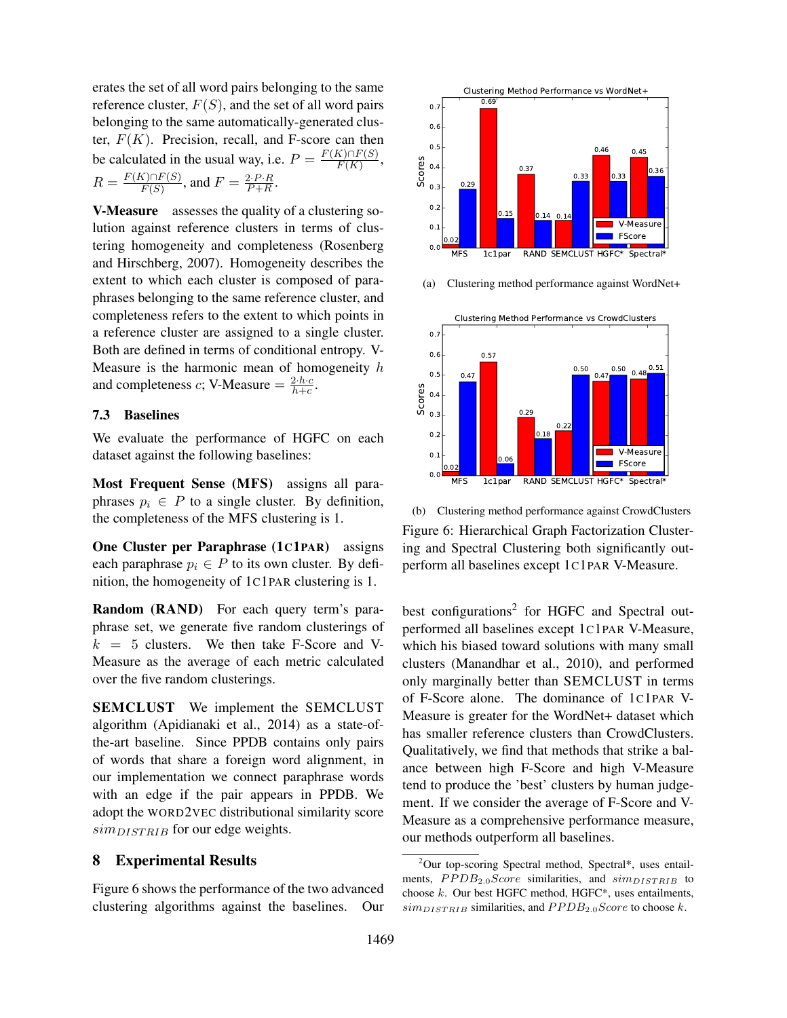erates the set of all word pairs belonging to the same reference cluster,  $F(S)$ , and the set of all word pairs belonging to the same automatically-generated cluster,  $F(K)$ . Precision, recall, and F-score can then be calculated in the usual way, i.e.  $P = \frac{F(K) \cap F(S)}{F(K)}$ ,  $R = \frac{F(K) \cap F(S)}{F(S)}$ , and  $F = \frac{2 \cdot P \cdot R}{P + R}$ .

V-Measure assesses the quality of a clustering solution against reference clusters in terms of clustering homogeneity and completeness (Rosenberg and Hirschberg, 2007). Homogeneity describes the extent to which each cluster is composed of paraphrases belonging to the same reference cluster, and completeness refers to the extent to which points in a reference cluster are assigned to a single cluster. Both are defined in terms of conditional entropy. V-Measure is the harmonic mean of homogeneity  $h$ and completeness *c*; V-Measure  $=$   $\frac{2 \cdot h \cdot c}{h+c}$ .

### 7.3 Baselines

We evaluate the performance of HGFC on each dataset against the following baselines:

Most Frequent Sense (MFS) assigns all paraphrases  $p_i \in P$  to a single cluster. By definition, the completeness of the MFS clustering is 1.

One Cluster per Paraphrase (1C1PAR) assigns each paraphrase  $p_i \in P$  to its own cluster. By definition, the homogeneity of 1C1PAR clustering is 1.

Random (RAND) For each query term's paraphrase set, we generate five random clusterings of  $k = 5$  clusters. We then take F-Score and V-Measure as the average of each metric calculated over the five random clusterings.

SEMCLUST We implement the SEMCLUST algorithm (Apidianaki et al., 2014) as a state-ofthe-art baseline. Since PPDB contains only pairs of words that share a foreign word alignment, in our implementation we connect paraphrase words with an edge if the pair appears in PPDB. We adopt the WORD2VEC distributional similarity score  $sim_{DISTRIB}$  for our edge weights.

#### 8 Experimental Results

Figure 6 shows the performance of the two advanced clustering algorithms against the baselines. Our



(a) Clustering method performance against WordNet+



(b) Clustering method performance against CrowdClusters Figure 6: Hierarchical Graph Factorization Clustering and Spectral Clustering both significantly outperform all baselines except 1C1PAR V-Measure.

best configurations<sup>2</sup> for HGFC and Spectral outperformed all baselines except 1C1PAR V-Measure, which his biased toward solutions with many small clusters (Manandhar et al., 2010), and performed only marginally better than SEMCLUST in terms of F-Score alone. The dominance of 1C1PAR V-Measure is greater for the WordNet+ dataset which has smaller reference clusters than CrowdClusters. Qualitatively, we find that methods that strike a balance between high F-Score and high V-Measure tend to produce the 'best' clusters by human judgement. If we consider the average of F-Score and V-Measure as a comprehensive performance measure, our methods outperform all baselines.

<sup>&</sup>lt;sup>2</sup>Our top-scoring Spectral method, Spectral\*, uses entailments,  $PPDB_{2.0} Score$  similarities, and  $sim_{DISTRIB}$  to choose  $k$ . Our best HGFC method, HGFC $*$ , uses entailments,  $sim_{DISTRIB}$  similarities, and  $PPDB_{2.0} Score$  to choose k.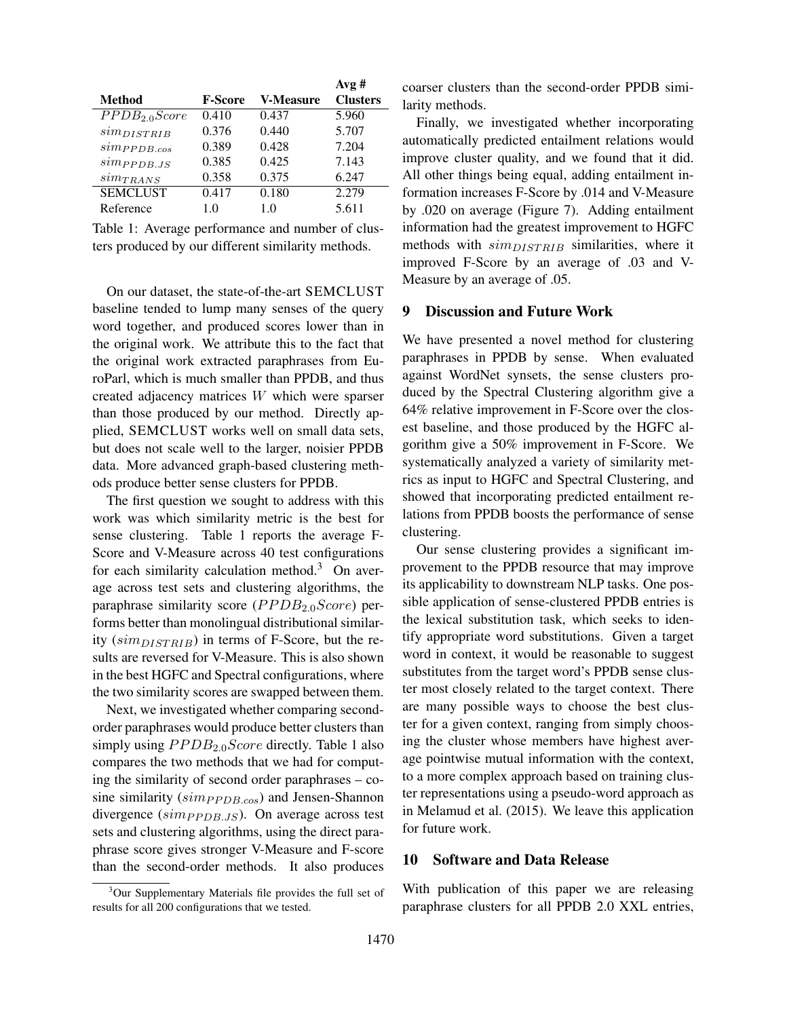|                |                  | Avg#            |
|----------------|------------------|-----------------|
| <b>F-Score</b> | <b>V-Measure</b> | <b>Clusters</b> |
| 0.410          | 0.437            | 5.960           |
| 0.376          | 0.440            | 5.707           |
| 0.389          | 0.428            | 7.204           |
| 0.385          | 0.425            | 7.143           |
| 0.358          | 0.375            | 6.247           |
| 0.417          | 0.180            | 2.279           |
| 1.0            | 1.0              | 5.611           |
|                |                  |                 |

Table 1: Average performance and number of clusters produced by our different similarity methods.

On our dataset, the state-of-the-art SEMCLUST baseline tended to lump many senses of the query word together, and produced scores lower than in the original work. We attribute this to the fact that the original work extracted paraphrases from EuroParl, which is much smaller than PPDB, and thus created adjacency matrices W which were sparser than those produced by our method. Directly applied, SEMCLUST works well on small data sets, but does not scale well to the larger, noisier PPDB data. More advanced graph-based clustering methods produce better sense clusters for PPDB.

The first question we sought to address with this work was which similarity metric is the best for sense clustering. Table 1 reports the average F-Score and V-Measure across 40 test configurations for each similarity calculation method.<sup>3</sup> On average across test sets and clustering algorithms, the paraphrase similarity score ( $PPDB_{2.0}Score$ ) performs better than monolingual distributional similarity  $(sim_{DISTRIB})$  in terms of F-Score, but the results are reversed for V-Measure. This is also shown in the best HGFC and Spectral configurations, where the two similarity scores are swapped between them.

Next, we investigated whether comparing secondorder paraphrases would produce better clusters than simply using  $PPDB_{2,0}Score$  directly. Table 1 also compares the two methods that we had for computing the similarity of second order paraphrases – cosine similarity ( $simp_{PDB.cos}$ ) and Jensen-Shannon divergence  $(simp_{PDB,JS})$ . On average across test sets and clustering algorithms, using the direct paraphrase score gives stronger V-Measure and F-score than the second-order methods. It also produces coarser clusters than the second-order PPDB similarity methods.

Finally, we investigated whether incorporating automatically predicted entailment relations would improve cluster quality, and we found that it did. All other things being equal, adding entailment information increases F-Score by .014 and V-Measure by .020 on average (Figure 7). Adding entailment information had the greatest improvement to HGFC methods with  $sim_{DISTRIB}$  similarities, where it improved F-Score by an average of .03 and V-Measure by an average of .05.

## 9 Discussion and Future Work

We have presented a novel method for clustering paraphrases in PPDB by sense. When evaluated against WordNet synsets, the sense clusters produced by the Spectral Clustering algorithm give a 64% relative improvement in F-Score over the closest baseline, and those produced by the HGFC algorithm give a 50% improvement in F-Score. We systematically analyzed a variety of similarity metrics as input to HGFC and Spectral Clustering, and showed that incorporating predicted entailment relations from PPDB boosts the performance of sense clustering.

Our sense clustering provides a significant improvement to the PPDB resource that may improve its applicability to downstream NLP tasks. One possible application of sense-clustered PPDB entries is the lexical substitution task, which seeks to identify appropriate word substitutions. Given a target word in context, it would be reasonable to suggest substitutes from the target word's PPDB sense cluster most closely related to the target context. There are many possible ways to choose the best cluster for a given context, ranging from simply choosing the cluster whose members have highest average pointwise mutual information with the context, to a more complex approach based on training cluster representations using a pseudo-word approach as in Melamud et al. (2015). We leave this application for future work.

### 10 Software and Data Release

With publication of this paper we are releasing paraphrase clusters for all PPDB 2.0 XXL entries,

<sup>&</sup>lt;sup>3</sup>Our Supplementary Materials file provides the full set of results for all 200 configurations that we tested.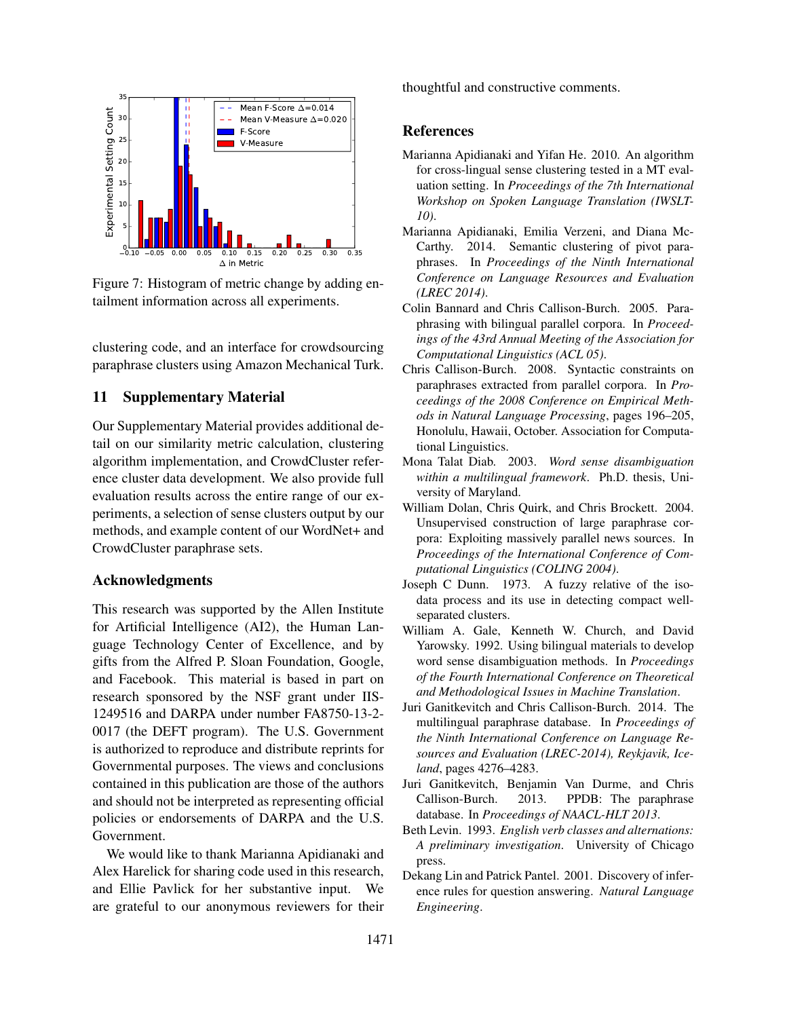

Figure 7: Histogram of metric change by adding entailment information across all experiments.

clustering code, and an interface for crowdsourcing paraphrase clusters using Amazon Mechanical Turk.

## 11 Supplementary Material

Our Supplementary Material provides additional detail on our similarity metric calculation, clustering algorithm implementation, and CrowdCluster reference cluster data development. We also provide full evaluation results across the entire range of our experiments, a selection of sense clusters output by our methods, and example content of our WordNet+ and CrowdCluster paraphrase sets.

#### Acknowledgments

This research was supported by the Allen Institute for Artificial Intelligence (AI2), the Human Language Technology Center of Excellence, and by gifts from the Alfred P. Sloan Foundation, Google, and Facebook. This material is based in part on research sponsored by the NSF grant under IIS-1249516 and DARPA under number FA8750-13-2- 0017 (the DEFT program). The U.S. Government is authorized to reproduce and distribute reprints for Governmental purposes. The views and conclusions contained in this publication are those of the authors and should not be interpreted as representing official policies or endorsements of DARPA and the U.S. Government.

We would like to thank Marianna Apidianaki and Alex Harelick for sharing code used in this research, and Ellie Pavlick for her substantive input. We are grateful to our anonymous reviewers for their thoughtful and constructive comments.

#### References

- Marianna Apidianaki and Yifan He. 2010. An algorithm for cross-lingual sense clustering tested in a MT evaluation setting. In *Proceedings of the 7th International Workshop on Spoken Language Translation (IWSLT-10)*.
- Marianna Apidianaki, Emilia Verzeni, and Diana Mc-Carthy. 2014. Semantic clustering of pivot paraphrases. In *Proceedings of the Ninth International Conference on Language Resources and Evaluation (LREC 2014)*.
- Colin Bannard and Chris Callison-Burch. 2005. Paraphrasing with bilingual parallel corpora. In *Proceedings of the 43rd Annual Meeting of the Association for Computational Linguistics (ACL 05)*.
- Chris Callison-Burch. 2008. Syntactic constraints on paraphrases extracted from parallel corpora. In *Proceedings of the 2008 Conference on Empirical Methods in Natural Language Processing*, pages 196–205, Honolulu, Hawaii, October. Association for Computational Linguistics.
- Mona Talat Diab. 2003. *Word sense disambiguation within a multilingual framework*. Ph.D. thesis, University of Maryland.
- William Dolan, Chris Quirk, and Chris Brockett. 2004. Unsupervised construction of large paraphrase corpora: Exploiting massively parallel news sources. In *Proceedings of the International Conference of Computational Linguistics (COLING 2004)*.
- Joseph C Dunn. 1973. A fuzzy relative of the isodata process and its use in detecting compact wellseparated clusters.
- William A. Gale, Kenneth W. Church, and David Yarowsky. 1992. Using bilingual materials to develop word sense disambiguation methods. In *Proceedings of the Fourth International Conference on Theoretical and Methodological Issues in Machine Translation*.
- Juri Ganitkevitch and Chris Callison-Burch. 2014. The multilingual paraphrase database. In *Proceedings of the Ninth International Conference on Language Resources and Evaluation (LREC-2014), Reykjavik, Iceland*, pages 4276–4283.
- Juri Ganitkevitch, Benjamin Van Durme, and Chris Callison-Burch. 2013. PPDB: The paraphrase database. In *Proceedings of NAACL-HLT 2013*.
- Beth Levin. 1993. *English verb classes and alternations: A preliminary investigation*. University of Chicago press.
- Dekang Lin and Patrick Pantel. 2001. Discovery of inference rules for question answering. *Natural Language Engineering*.